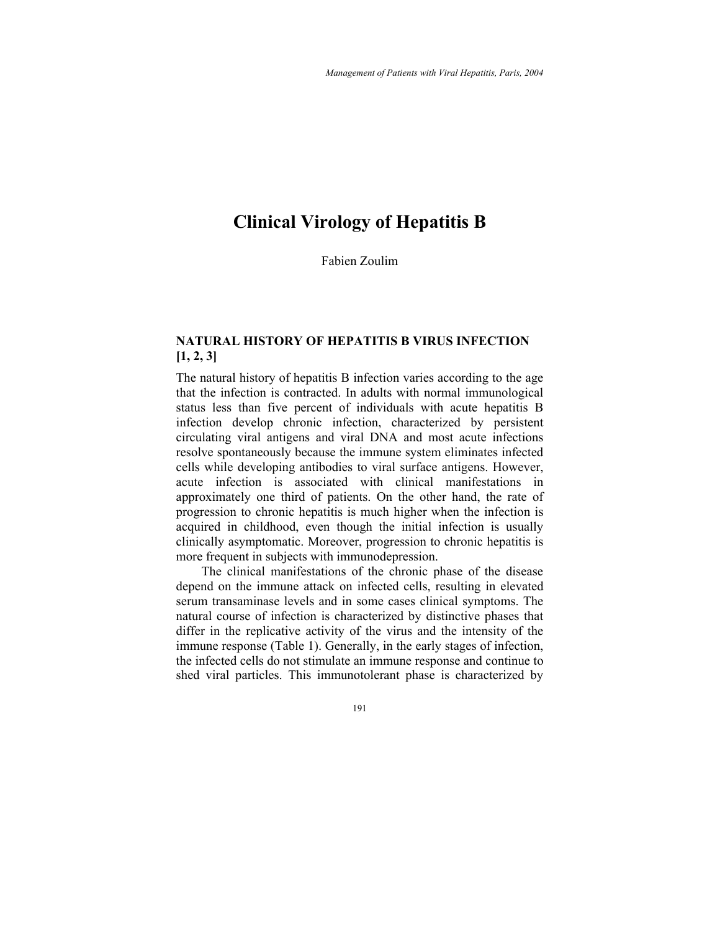# **Clinical Virology of Hepatitis B**

Fabien Zoulim

## **NATURAL HISTORY OF HEPATITIS B VIRUS INFECTION [1, 2, 3]**

The natural history of hepatitis B infection varies according to the age that the infection is contracted. In adults with normal immunological status less than five percent of individuals with acute hepatitis B infection develop chronic infection, characterized by persistent circulating viral antigens and viral DNA and most acute infections resolve spontaneously because the immune system eliminates infected cells while developing antibodies to viral surface antigens. However, acute infection is associated with clinical manifestations in approximately one third of patients. On the other hand, the rate of progression to chronic hepatitis is much higher when the infection is acquired in childhood, even though the initial infection is usually clinically asymptomatic. Moreover, progression to chronic hepatitis is more frequent in subjects with immunodepression.

The clinical manifestations of the chronic phase of the disease depend on the immune attack on infected cells, resulting in elevated serum transaminase levels and in some cases clinical symptoms. The natural course of infection is characterized by distinctive phases that differ in the replicative activity of the virus and the intensity of the immune response (Table 1). Generally, in the early stages of infection, the infected cells do not stimulate an immune response and continue to shed viral particles. This immunotolerant phase is characterized by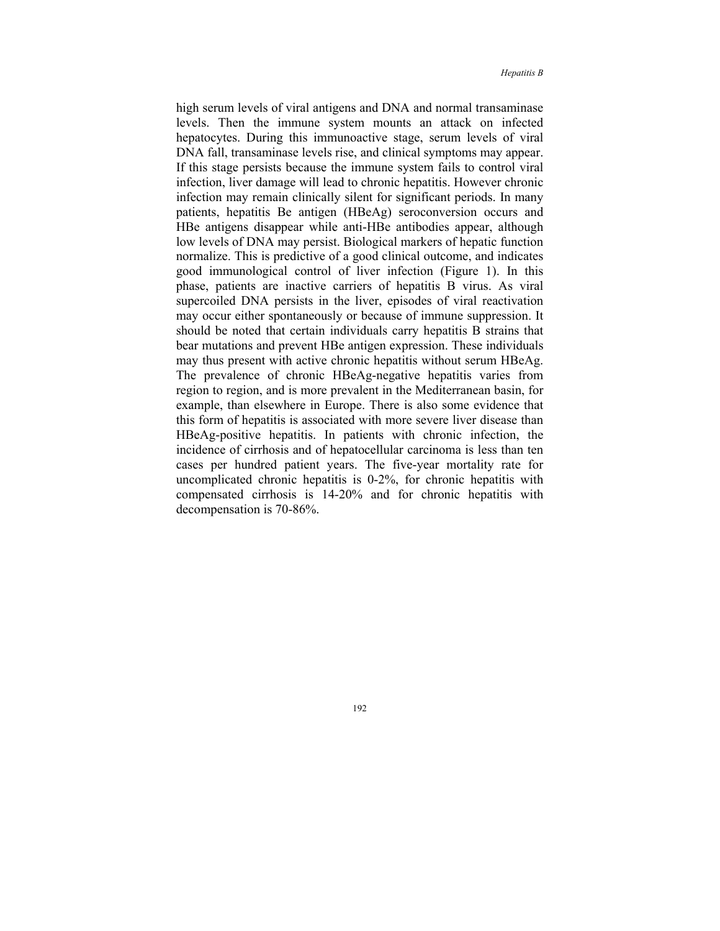high serum levels of viral antigens and DNA and normal transaminase levels. Then the immune system mounts an attack on infected hepatocytes. During this immunoactive stage, serum levels of viral DNA fall, transaminase levels rise, and clinical symptoms may appear. If this stage persists because the immune system fails to control viral infection, liver damage will lead to chronic hepatitis. However chronic infection may remain clinically silent for significant periods. In many patients, hepatitis Be antigen (HBeAg) seroconversion occurs and HBe antigens disappear while anti-HBe antibodies appear, although low levels of DNA may persist. Biological markers of hepatic function normalize. This is predictive of a good clinical outcome, and indicates good immunological control of liver infection (Figure 1). In this phase, patients are inactive carriers of hepatitis B virus. As viral supercoiled DNA persists in the liver, episodes of viral reactivation may occur either spontaneously or because of immune suppression. It should be noted that certain individuals carry hepatitis B strains that bear mutations and prevent HBe antigen expression. These individuals may thus present with active chronic hepatitis without serum HBeAg. The prevalence of chronic HBeAg-negative hepatitis varies from region to region, and is more prevalent in the Mediterranean basin, for example, than elsewhere in Europe. There is also some evidence that this form of hepatitis is associated with more severe liver disease than HBeAg-positive hepatitis. In patients with chronic infection, the incidence of cirrhosis and of hepatocellular carcinoma is less than ten cases per hundred patient years. The five-year mortality rate for uncomplicated chronic hepatitis is 0-2%, for chronic hepatitis with compensated cirrhosis is 14-20% and for chronic hepatitis with decompensation is 70-86%.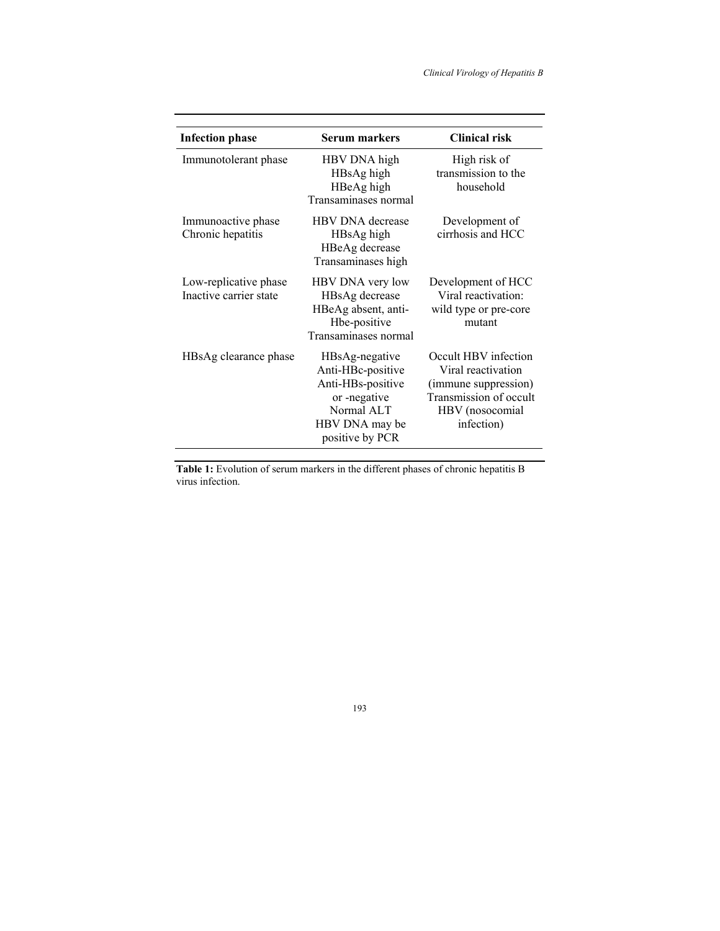| <b>Infection phase</b>                          | <b>Serum markers</b>                                                                                                        | <b>Clinical risk</b>                                                                                                          |  |
|-------------------------------------------------|-----------------------------------------------------------------------------------------------------------------------------|-------------------------------------------------------------------------------------------------------------------------------|--|
| Immunotolerant phase                            | HBV DNA high<br>HBsAg high<br>HBeAg high<br>Transaminases normal                                                            | High risk of<br>transmission to the<br>household                                                                              |  |
| Immunoactive phase<br>Chronic hepatitis         | <b>HBV DNA</b> decrease<br>HBsAg high<br>HBeAg decrease<br>Transaminases high                                               | Development of<br>cirrhosis and HCC                                                                                           |  |
| Low-replicative phase<br>Inactive carrier state | HBV DNA very low<br>HBsAg decrease<br>HBeAg absent, anti-<br>Hbe-positive<br>Transaminases normal                           | Development of HCC<br>Viral reactivation:<br>wild type or pre-core<br>mutant                                                  |  |
| HBsAg clearance phase                           | HBsAg-negative<br>Anti-HBc-positive<br>Anti-HBs-positive<br>or -negative<br>Normal ALT<br>HBV DNA may be<br>positive by PCR | Occult HBV infection<br>Viral reactivation<br>(immune suppression)<br>Transmission of occult<br>HBV (nosocomial<br>infection) |  |

**Table 1:** Evolution of serum markers in the different phases of chronic hepatitis B virus infection.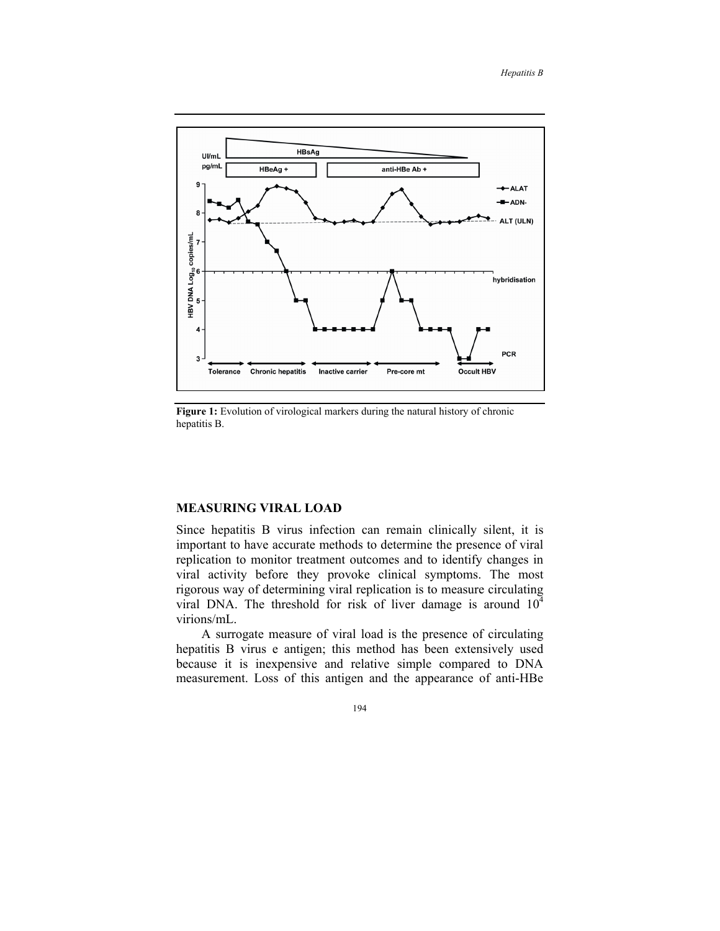

**Figure 1:** Evolution of virological markers during the natural history of chronic hepatitis B.

## **MEASURING VIRAL LOAD**

Since hepatitis B virus infection can remain clinically silent, it is important to have accurate methods to determine the presence of viral replication to monitor treatment outcomes and to identify changes in viral activity before they provoke clinical symptoms. The most rigorous way of determining viral replication is to measure circulating viral DNA. The threshold for risk of liver damage is around  $10<sup>4</sup>$ virions/mL.

A surrogate measure of viral load is the presence of circulating hepatitis B virus e antigen; this method has been extensively used because it is inexpensive and relative simple compared to DNA measurement. Loss of this antigen and the appearance of anti-HBe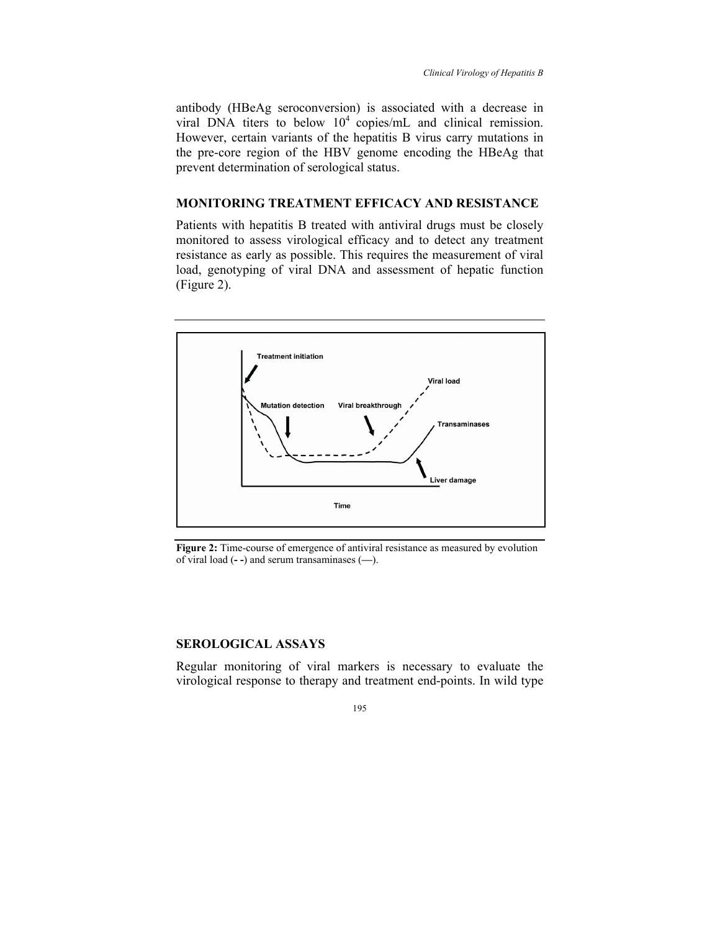antibody (HBeAg seroconversion) is associated with a decrease in viral DNA titers to below  $10^4$  copies/mL and clinical remission. However, certain variants of the hepatitis B virus carry mutations in the pre-core region of the HBV genome encoding the HBeAg that prevent determination of serological status.

## **MONITORING TREATMENT EFFICACY AND RESISTANCE**

Patients with hepatitis B treated with antiviral drugs must be closely monitored to assess virological efficacy and to detect any treatment resistance as early as possible. This requires the measurement of viral load, genotyping of viral DNA and assessment of hepatic function (Figure 2).



**Figure 2:** Time-course of emergence of antiviral resistance as measured by evolution of viral load (**- -**) and serum transaminases (**—**).

#### **SEROLOGICAL ASSAYS**

Regular monitoring of viral markers is necessary to evaluate the virological response to therapy and treatment end-points. In wild type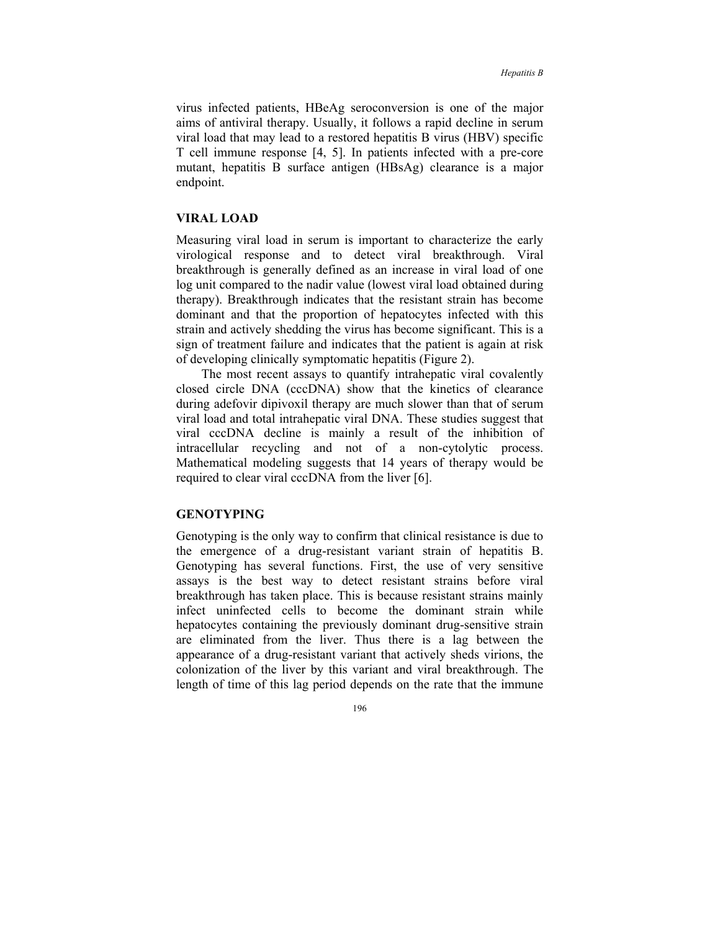virus infected patients, HBeAg seroconversion is one of the major aims of antiviral therapy. Usually, it follows a rapid decline in serum viral load that may lead to a restored hepatitis B virus (HBV) specific T cell immune response [4, 5]. In patients infected with a pre-core mutant, hepatitis B surface antigen (HBsAg) clearance is a major endpoint.

#### **VIRAL LOAD**

Measuring viral load in serum is important to characterize the early virological response and to detect viral breakthrough. Viral breakthrough is generally defined as an increase in viral load of one log unit compared to the nadir value (lowest viral load obtained during therapy). Breakthrough indicates that the resistant strain has become dominant and that the proportion of hepatocytes infected with this strain and actively shedding the virus has become significant. This is a sign of treatment failure and indicates that the patient is again at risk of developing clinically symptomatic hepatitis (Figure 2).

The most recent assays to quantify intrahepatic viral covalently closed circle DNA (cccDNA) show that the kinetics of clearance during adefovir dipivoxil therapy are much slower than that of serum viral load and total intrahepatic viral DNA. These studies suggest that viral cccDNA decline is mainly a result of the inhibition of intracellular recycling and not of a non-cytolytic process. Mathematical modeling suggests that 14 years of therapy would be required to clear viral cccDNA from the liver [6].

## **GENOTYPING**

Genotyping is the only way to confirm that clinical resistance is due to the emergence of a drug-resistant variant strain of hepatitis B. Genotyping has several functions. First, the use of very sensitive assays is the best way to detect resistant strains before viral breakthrough has taken place. This is because resistant strains mainly infect uninfected cells to become the dominant strain while hepatocytes containing the previously dominant drug-sensitive strain are eliminated from the liver. Thus there is a lag between the appearance of a drug-resistant variant that actively sheds virions, the colonization of the liver by this variant and viral breakthrough. The length of time of this lag period depends on the rate that the immune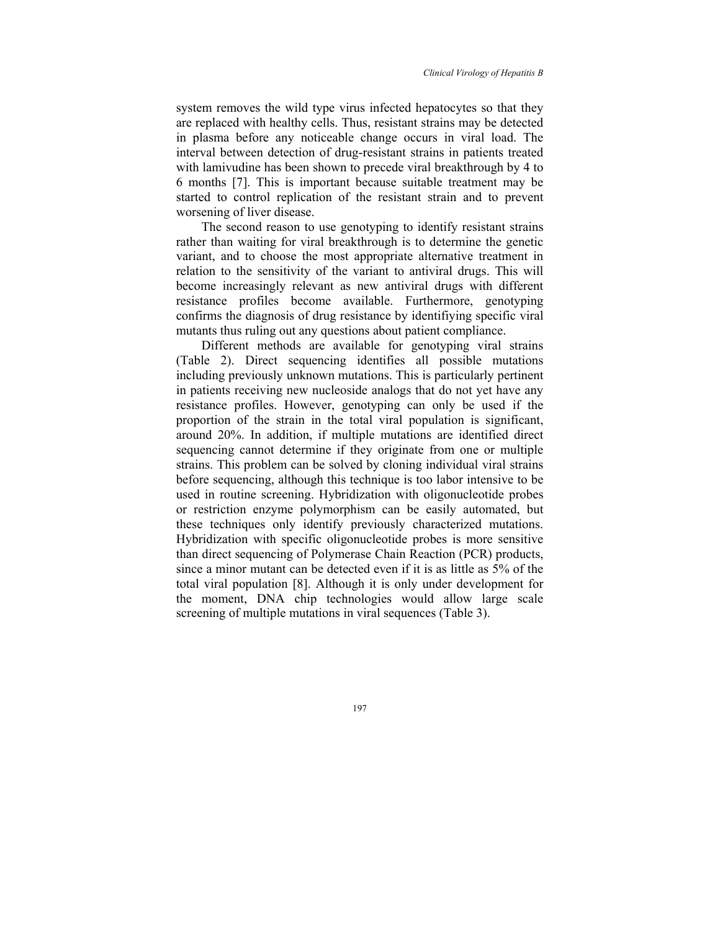system removes the wild type virus infected hepatocytes so that they are replaced with healthy cells. Thus, resistant strains may be detected in plasma before any noticeable change occurs in viral load. The interval between detection of drug-resistant strains in patients treated with lamivudine has been shown to precede viral breakthrough by 4 to 6 months [7]. This is important because suitable treatment may be started to control replication of the resistant strain and to prevent worsening of liver disease.

The second reason to use genotyping to identify resistant strains rather than waiting for viral breakthrough is to determine the genetic variant, and to choose the most appropriate alternative treatment in relation to the sensitivity of the variant to antiviral drugs. This will become increasingly relevant as new antiviral drugs with different resistance profiles become available. Furthermore, genotyping confirms the diagnosis of drug resistance by identifiying specific viral mutants thus ruling out any questions about patient compliance.

Different methods are available for genotyping viral strains (Table 2). Direct sequencing identifies all possible mutations including previously unknown mutations. This is particularly pertinent in patients receiving new nucleoside analogs that do not yet have any resistance profiles. However, genotyping can only be used if the proportion of the strain in the total viral population is significant, around 20%. In addition, if multiple mutations are identified direct sequencing cannot determine if they originate from one or multiple strains. This problem can be solved by cloning individual viral strains before sequencing, although this technique is too labor intensive to be used in routine screening. Hybridization with oligonucleotide probes or restriction enzyme polymorphism can be easily automated, but these techniques only identify previously characterized mutations. Hybridization with specific oligonucleotide probes is more sensitive than direct sequencing of Polymerase Chain Reaction (PCR) products, since a minor mutant can be detected even if it is as little as 5% of the total viral population [8]. Although it is only under development for the moment, DNA chip technologies would allow large scale screening of multiple mutations in viral sequences (Table 3).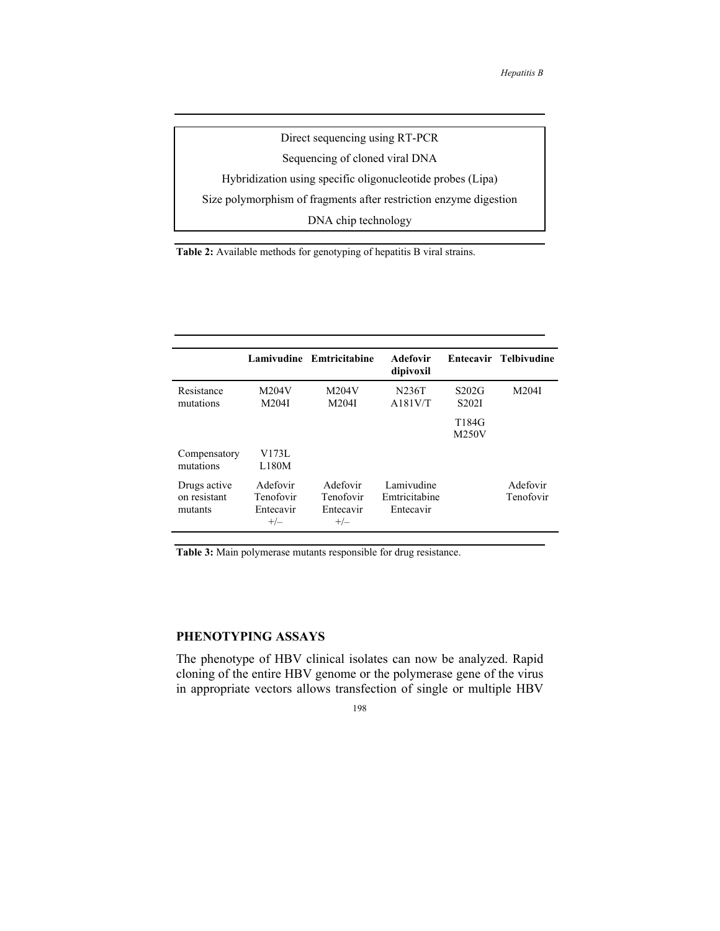Direct sequencing using RT-PCR Sequencing of cloned viral DNA Hybridization using specific oligonucleotide probes (Lipa) Size polymorphism of fragments after restriction enzyme digestion DNA chip technology

**Table 2:** Available methods for genotyping of hepatitis B viral strains.

|                                         |                                             | Lamivudine Emtricitabine                    | Adefovir<br>dipivoxil                    |                             | Entecavir Telbivudine |
|-----------------------------------------|---------------------------------------------|---------------------------------------------|------------------------------------------|-----------------------------|-----------------------|
| Resistance<br>mutations                 | M204V<br>M204I                              | M204V<br>M204I                              | N236T<br>A181V/T                         | S202G<br>S <sub>202</sub> I | M204I                 |
|                                         |                                             |                                             |                                          | T184G<br>M250V              |                       |
| Compensatory<br>mutations               | V173L<br>L180M                              |                                             |                                          |                             |                       |
| Drugs active<br>on resistant<br>mutants | Adefovir<br>Tenofovir<br>Entecavir<br>$+/-$ | Adefovir<br>Tenofovir<br>Entecavir<br>$+/-$ | Lamivudine<br>Emtricitabine<br>Entecavir |                             | Adefovir<br>Tenofovir |

**Table 3:** Main polymerase mutants responsible for drug resistance.

## **PHENOTYPING ASSAYS**

The phenotype of HBV clinical isolates can now be analyzed. Rapid cloning of the entire HBV genome or the polymerase gene of the virus in appropriate vectors allows transfection of single or multiple HBV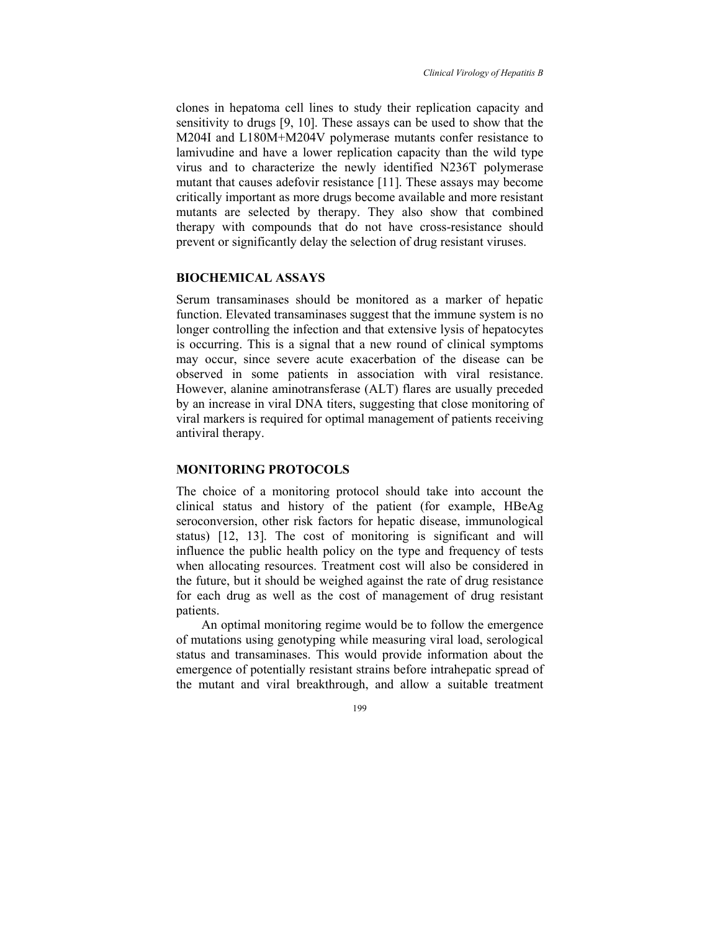clones in hepatoma cell lines to study their replication capacity and sensitivity to drugs [9, 10]. These assays can be used to show that the M204I and L180M+M204V polymerase mutants confer resistance to lamivudine and have a lower replication capacity than the wild type virus and to characterize the newly identified N236T polymerase mutant that causes adefovir resistance [11]. These assays may become critically important as more drugs become available and more resistant mutants are selected by therapy. They also show that combined therapy with compounds that do not have cross-resistance should prevent or significantly delay the selection of drug resistant viruses.

## **BIOCHEMICAL ASSAYS**

Serum transaminases should be monitored as a marker of hepatic function. Elevated transaminases suggest that the immune system is no longer controlling the infection and that extensive lysis of hepatocytes is occurring. This is a signal that a new round of clinical symptoms may occur, since severe acute exacerbation of the disease can be observed in some patients in association with viral resistance. However, alanine aminotransferase (ALT) flares are usually preceded by an increase in viral DNA titers, suggesting that close monitoring of viral markers is required for optimal management of patients receiving antiviral therapy.

#### **MONITORING PROTOCOLS**

The choice of a monitoring protocol should take into account the clinical status and history of the patient (for example, HBeAg seroconversion, other risk factors for hepatic disease, immunological status) [12, 13]. The cost of monitoring is significant and will influence the public health policy on the type and frequency of tests when allocating resources. Treatment cost will also be considered in the future, but it should be weighed against the rate of drug resistance for each drug as well as the cost of management of drug resistant patients.

An optimal monitoring regime would be to follow the emergence of mutations using genotyping while measuring viral load, serological status and transaminases. This would provide information about the emergence of potentially resistant strains before intrahepatic spread of the mutant and viral breakthrough, and allow a suitable treatment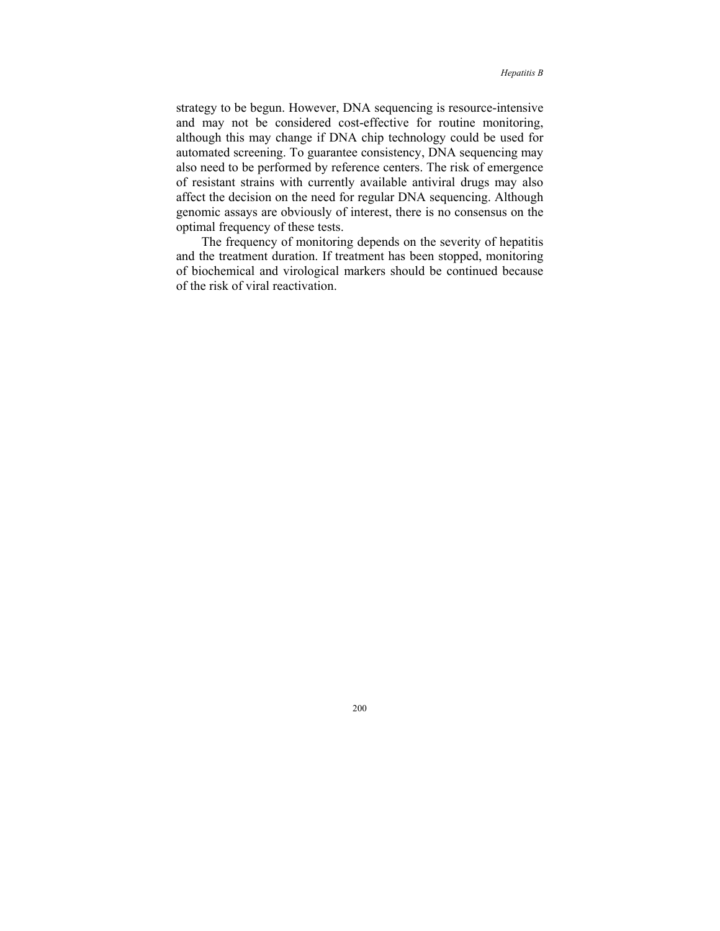strategy to be begun. However, DNA sequencing is resource-intensive and may not be considered cost-effective for routine monitoring, although this may change if DNA chip technology could be used for automated screening. To guarantee consistency, DNA sequencing may also need to be performed by reference centers. The risk of emergence of resistant strains with currently available antiviral drugs may also affect the decision on the need for regular DNA sequencing. Although genomic assays are obviously of interest, there is no consensus on the optimal frequency of these tests.

The frequency of monitoring depends on the severity of hepatitis and the treatment duration. If treatment has been stopped, monitoring of biochemical and virological markers should be continued because of the risk of viral reactivation.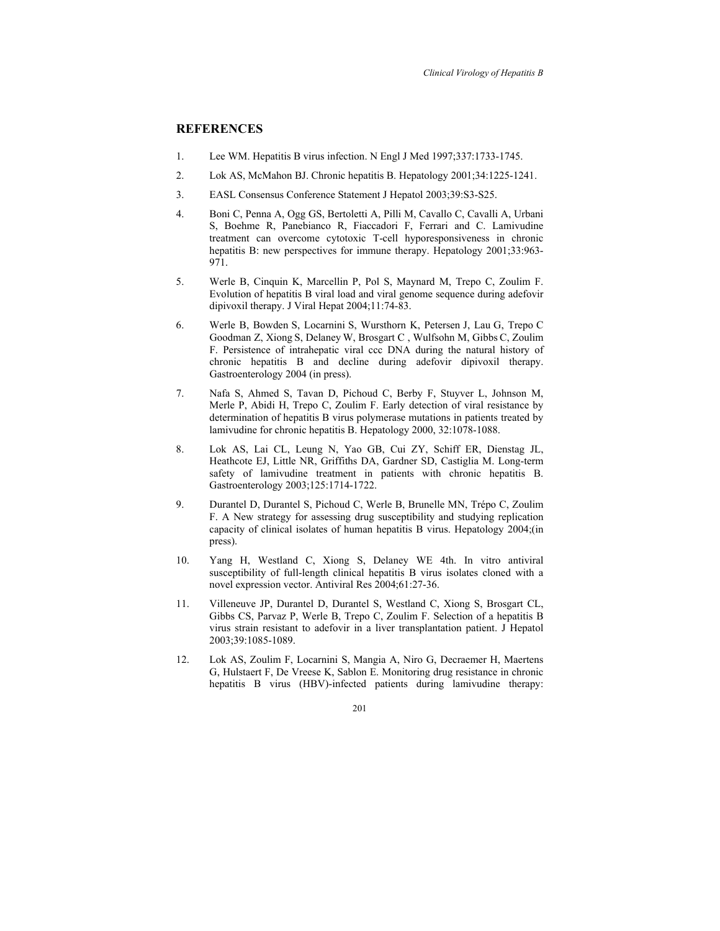## **REFERENCES**

- 1. Lee WM. Hepatitis B virus infection. N Engl J Med 1997;337:1733-1745.
- 2. Lok AS, McMahon BJ. Chronic hepatitis B. Hepatology 2001;34:1225-1241.
- 3. EASL Consensus Conference Statement J Hepatol 2003;39:S3-S25.
- 4. Boni C, Penna A, Ogg GS, Bertoletti A, Pilli M, Cavallo C, Cavalli A, Urbani S, Boehme R, Panebianco R, Fiaccadori F, Ferrari and C. Lamivudine treatment can overcome cytotoxic T-cell hyporesponsiveness in chronic hepatitis B: new perspectives for immune therapy. Hepatology 2001;33:963- 971.
- 5. Werle B, Cinquin K, Marcellin P, Pol S, Maynard M, Trepo C, Zoulim F. Evolution of hepatitis B viral load and viral genome sequence during adefovir dipivoxil therapy. J Viral Hepat 2004;11:74-83.
- 6. Werle B, Bowden S, Locarnini S, Wursthorn K, Petersen J, Lau G, Trepo C Goodman Z, Xiong S, Delaney W, Brosgart C , Wulfsohn M, Gibbs C, Zoulim F. Persistence of intrahepatic viral ccc DNA during the natural history of chronic hepatitis B and decline during adefovir dipivoxil therapy. Gastroenterology 2004 (in press).
- 7. Nafa S, Ahmed S, Tavan D, Pichoud C, Berby F, Stuyver L, Johnson M, Merle P, Abidi H, Trepo C, Zoulim F. Early detection of viral resistance by determination of hepatitis B virus polymerase mutations in patients treated by lamivudine for chronic hepatitis B. Hepatology 2000, 32:1078-1088.
- 8. Lok AS, Lai CL, Leung N, Yao GB, Cui ZY, Schiff ER, Dienstag JL, Heathcote EJ, Little NR, Griffiths DA, Gardner SD, Castiglia M. Long-term safety of lamivudine treatment in patients with chronic hepatitis B. Gastroenterology 2003;125:1714-1722.
- 9. Durantel D, Durantel S, Pichoud C, Werle B, Brunelle MN, Trépo C, Zoulim F. A New strategy for assessing drug susceptibility and studying replication capacity of clinical isolates of human hepatitis B virus. Hepatology 2004;(in press).
- 10. Yang H, Westland C, Xiong S, Delaney WE 4th. In vitro antiviral susceptibility of full-length clinical hepatitis B virus isolates cloned with a novel expression vector. Antiviral Res 2004;61:27-36.
- 11. Villeneuve JP, Durantel D, Durantel S, Westland C, Xiong S, Brosgart CL, Gibbs CS, Parvaz P, Werle B, Trepo C, Zoulim F. Selection of a hepatitis B virus strain resistant to adefovir in a liver transplantation patient. J Hepatol 2003;39:1085-1089.
- 12. Lok AS, Zoulim F, Locarnini S, Mangia A, Niro G, Decraemer H, Maertens G, Hulstaert F, De Vreese K, Sablon E. Monitoring drug resistance in chronic hepatitis B virus (HBV)-infected patients during lamivudine therapy: